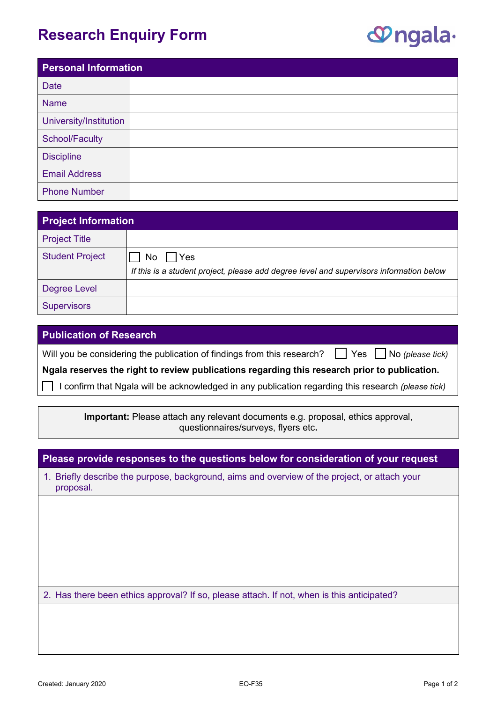## **Research Enquiry Form**

## **P**ngala-

| <b>Personal Information</b> |  |
|-----------------------------|--|
| <b>Date</b>                 |  |
| <b>Name</b>                 |  |
| University/Institution      |  |
| School/Faculty              |  |
| <b>Discipline</b>           |  |
| <b>Email Address</b>        |  |
| <b>Phone Number</b>         |  |

| <b>Project Information</b> |                                                                                         |
|----------------------------|-----------------------------------------------------------------------------------------|
| <b>Project Title</b>       |                                                                                         |
| <b>Student Project</b>     | Yes<br>No.                                                                              |
|                            | If this is a student project, please add degree level and supervisors information below |
| <b>Degree Level</b>        |                                                                                         |
| <b>Supervisors</b>         |                                                                                         |

## **Publication of Research**

Will you be considering the publication of findings from this research? ◯ Yes ◯ No *(please tick)* 

**Ngala reserves the right to review publications regarding this research prior to publication.**

☐ I confirm that Ngala will be acknowledged in any publication regarding this research *(please tick)*

**Important:** Please attach any relevant documents e.g. proposal, ethics approval, questionnaires/surveys, flyers etc**.** 

| 1. Briefly describe the purpose, background, aims and overview of the project, or attach your<br>proposal. |  |
|------------------------------------------------------------------------------------------------------------|--|
|                                                                                                            |  |
|                                                                                                            |  |
|                                                                                                            |  |
|                                                                                                            |  |
| 2. Has there been ethics approval? If so, please attach. If not, when is this anticipated?                 |  |